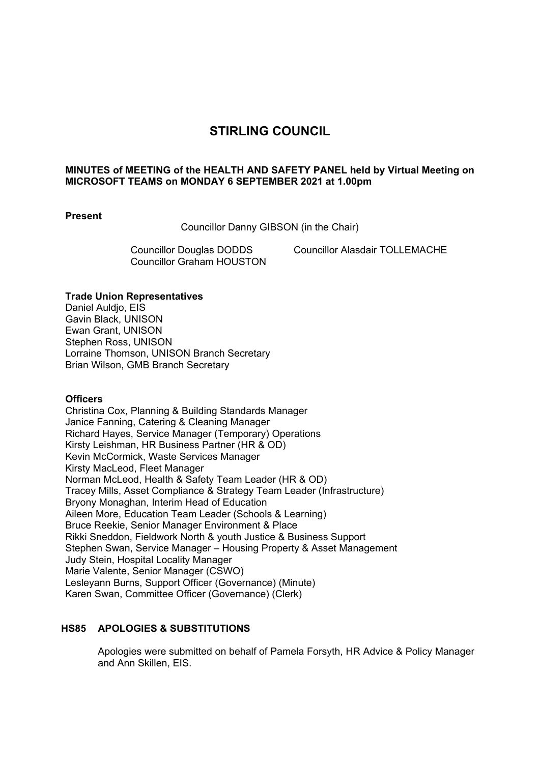# **STIRLING COUNCIL**

## **MINUTES of MEETING of the HEALTH AND SAFETY PANEL held by Virtual Meeting on MICROSOFT TEAMS on MONDAY 6 SEPTEMBER 2021 at 1.00pm**

#### **Present**

Councillor Danny GIBSON (in the Chair)

Councillor Graham HOUSTON

Councillor Douglas DODDS Councillor Alasdair TOLLEMACHE

#### **Trade Union Representatives**

Daniel Auldio, EIS Gavin Black, UNISON Ewan Grant, UNISON Stephen Ross, UNISON Lorraine Thomson, UNISON Branch Secretary Brian Wilson, GMB Branch Secretary

#### **Officers**

Christina Cox, Planning & Building Standards Manager Janice Fanning, Catering & Cleaning Manager Richard Hayes, Service Manager (Temporary) Operations Kirsty Leishman, HR Business Partner (HR & OD) Kevin McCormick, Waste Services Manager Kirsty MacLeod, Fleet Manager Norman McLeod, Health & Safety Team Leader (HR & OD) Tracey Mills, Asset Compliance & Strategy Team Leader (Infrastructure) Bryony Monaghan, Interim Head of Education Aileen More, Education Team Leader (Schools & Learning) Bruce Reekie, Senior Manager Environment & Place Rikki Sneddon, Fieldwork North & youth Justice & Business Support Stephen Swan, Service Manager – Housing Property & Asset Management Judy Stein, Hospital Locality Manager Marie Valente, Senior Manager (CSWO) Lesleyann Burns, Support Officer (Governance) (Minute) Karen Swan, Committee Officer (Governance) (Clerk)

## **HS85 APOLOGIES & SUBSTITUTIONS**

Apologies were submitted on behalf of Pamela Forsyth, HR Advice & Policy Manager and Ann Skillen, EIS.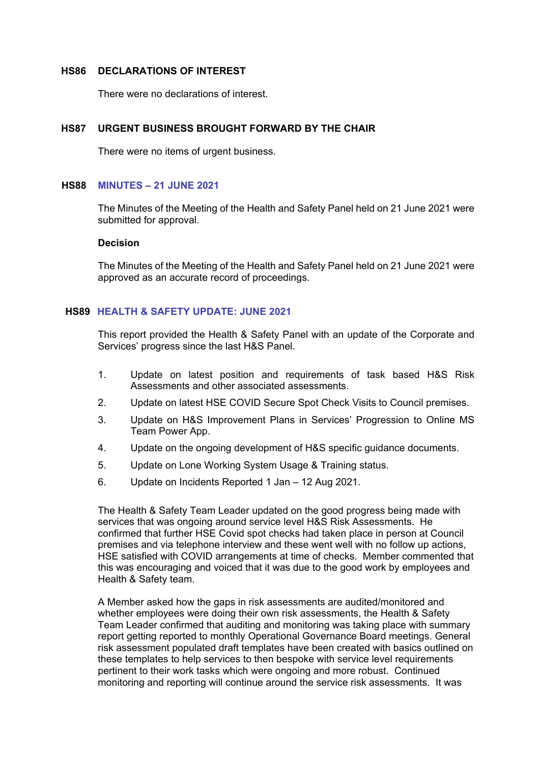#### **HS86 DECLARATIONS OF INTEREST**

There were no declarations of interest.

## **HS87 URGENT BUSINESS BROUGHT FORWARD BY THE CHAIR**

There were no items of urgent business.

#### **HS88 MINUTES – 21 JUNE 2021**

The Minutes of the Meeting of the Health and Safety Panel held on 21 June 2021 were submitted for approval.

#### **Decision**

The Minutes of the Meeting of the Health and Safety Panel held on 21 June 2021 were approved as an accurate record of proceedings.

#### **HS89 HEALTH & SAFETY UPDATE: JUNE 2021**

This report provided the Health & Safety Panel with an update of the Corporate and Services' progress since the last H&S Panel.

- 1. Update on latest position and requirements of task based H&S Risk Assessments and other associated assessments.
- 2. Update on latest HSE COVID Secure Spot Check Visits to Council premises.
- 3. Update on H&S Improvement Plans in Services' Progression to Online MS Team Power App.
- 4. Update on the ongoing development of H&S specific guidance documents.
- 5. Update on Lone Working System Usage & Training status.
- 6. Update on Incidents Reported 1 Jan 12 Aug 2021.

The Health & Safety Team Leader updated on the good progress being made with services that was ongoing around service level H&S Risk Assessments. He confirmed that further HSE Covid spot checks had taken place in person at Council premises and via telephone interview and these went well with no follow up actions, HSE satisfied with COVID arrangements at time of checks. Member commented that this was encouraging and voiced that it was due to the good work by employees and Health & Safety team.

A Member asked how the gaps in risk assessments are audited/monitored and whether employees were doing their own risk assessments, the Health & Safety Team Leader confirmed that auditing and monitoring was taking place with summary report getting reported to monthly Operational Governance Board meetings. General risk assessment populated draft templates have been created with basics outlined on these templates to help services to then bespoke with service level requirements pertinent to their work tasks which were ongoing and more robust. Continued monitoring and reporting will continue around the service risk assessments. It was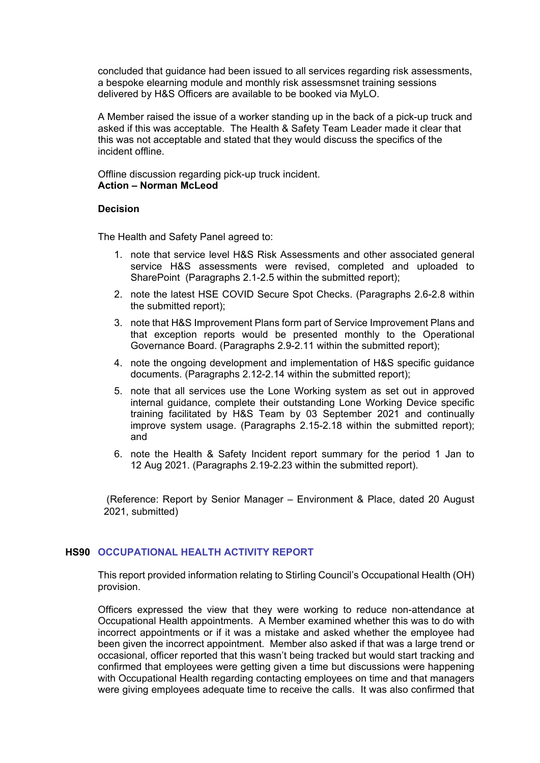concluded that guidance had been issued to all services regarding risk assessments, a bespoke elearning module and monthly risk assessmsnet training sessions delivered by H&S Officers are available to be booked via MyLO.

A Member raised the issue of a worker standing up in the back of a pick-up truck and asked if this was acceptable. The Health & Safety Team Leader made it clear that this was not acceptable and stated that they would discuss the specifics of the incident offline.

Offline discussion regarding pick-up truck incident. **Action – Norman McLeod** 

#### **Decision**

The Health and Safety Panel agreed to:

- 1. note that service level H&S Risk Assessments and other associated general service H&S assessments were revised, completed and uploaded to SharePoint (Paragraphs 2.1-2.5 within the submitted report);
- 2. note the latest HSE COVID Secure Spot Checks. (Paragraphs 2.6-2.8 within the submitted report);
- 3. note that H&S Improvement Plans form part of Service Improvement Plans and that exception reports would be presented monthly to the Operational Governance Board. (Paragraphs 2.9-2.11 within the submitted report);
- 4. note the ongoing development and implementation of H&S specific guidance documents. (Paragraphs 2.12-2.14 within the submitted report);
- 5. note that all services use the Lone Working system as set out in approved internal guidance, complete their outstanding Lone Working Device specific training facilitated by H&S Team by 03 September 2021 and continually improve system usage. (Paragraphs 2.15-2.18 within the submitted report); and
- 6. note the Health & Safety Incident report summary for the period 1 Jan to 12 Aug 2021. (Paragraphs 2.19-2.23 within the submitted report).

 (Reference: Report by Senior Manager – Environment & Place, dated 20 August 2021, submitted)

# **HS90 OCCUPATIONAL HEALTH ACTIVITY REPORT**

This report provided information relating to Stirling Council's Occupational Health (OH) provision.

Officers expressed the view that they were working to reduce non-attendance at Occupational Health appointments. A Member examined whether this was to do with incorrect appointments or if it was a mistake and asked whether the employee had been given the incorrect appointment. Member also asked if that was a large trend or occasional, officer reported that this wasn't being tracked but would start tracking and confirmed that employees were getting given a time but discussions were happening with Occupational Health regarding contacting employees on time and that managers were giving employees adequate time to receive the calls. It was also confirmed that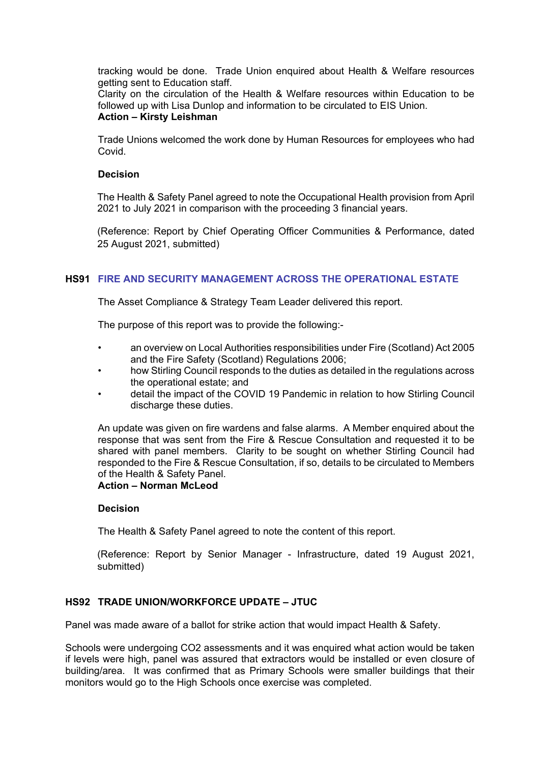tracking would be done. Trade Union enquired about Health & Welfare resources getting sent to Education staff.

Clarity on the circulation of the Health & Welfare resources within Education to be followed up with Lisa Dunlop and information to be circulated to EIS Union. **Action – Kirsty Leishman** 

Trade Unions welcomed the work done by Human Resources for employees who had Covid.

#### **Decision**

The Health & Safety Panel agreed to note the Occupational Health provision from April 2021 to July 2021 in comparison with the proceeding 3 financial years.

(Reference: Report by Chief Operating Officer Communities & Performance, dated 25 August 2021, submitted)

# **HS91 FIRE AND SECURITY MANAGEMENT ACROSS THE OPERATIONAL ESTATE**

The Asset Compliance & Strategy Team Leader delivered this report.

The purpose of this report was to provide the following:-

- an overview on Local Authorities responsibilities under Fire (Scotland) Act 2005 and the Fire Safety (Scotland) Regulations 2006;
- how Stirling Council responds to the duties as detailed in the regulations across the operational estate; and
- detail the impact of the COVID 19 Pandemic in relation to how Stirling Council discharge these duties.

An update was given on fire wardens and false alarms. A Member enquired about the response that was sent from the Fire & Rescue Consultation and requested it to be shared with panel members. Clarity to be sought on whether Stirling Council had responded to the Fire & Rescue Consultation, if so, details to be circulated to Members of the Health & Safety Panel. **Action – Norman McLeod** 

#### **Decision**

The Health & Safety Panel agreed to note the content of this report.

(Reference: Report by Senior Manager - Infrastructure, dated 19 August 2021, submitted)

# **HS92 TRADE UNION/WORKFORCE UPDATE – JTUC**

Panel was made aware of a ballot for strike action that would impact Health & Safety.

Schools were undergoing CO2 assessments and it was enquired what action would be taken if levels were high, panel was assured that extractors would be installed or even closure of building/area. It was confirmed that as Primary Schools were smaller buildings that their monitors would go to the High Schools once exercise was completed.